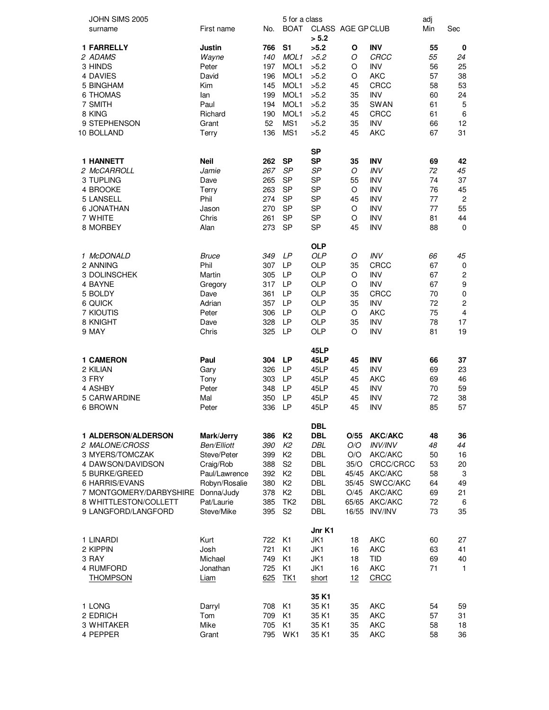| JOHN SIMS 2005             |               |     | 5 for a class    |                            |       |                | adj |                         |
|----------------------------|---------------|-----|------------------|----------------------------|-------|----------------|-----|-------------------------|
| surname                    | First name    | No. | <b>BOAT</b>      | CLASS AGE GP CLUB<br>> 5.2 |       |                | Min | Sec                     |
| <b>1 FARRELLY</b>          | Justin        | 766 | S <sub>1</sub>   | >5.2                       | O     | <b>INV</b>     | 55  | 0                       |
|                            |               |     |                  |                            |       |                |     |                         |
| 2 ADAMS                    | Wayne         | 140 | MOL <sub>1</sub> | >5.2                       | O     | CRCC           | 55  | 24                      |
| 3 HINDS                    | Peter         | 197 | MOL1             | >5.2                       | O     | <b>INV</b>     | 56  | 25                      |
| 4 DAVIES                   | David         | 196 | MOL1             | >5.2                       | O     | <b>AKC</b>     | 57  | 38                      |
| 5 BINGHAM                  | Kim           | 145 | MOL1             | >5.2                       | 45    | CRCC           | 58  | 53                      |
| <b>6 THOMAS</b>            | lan           | 199 | MOL1             | >5.2                       | 35    | <b>INV</b>     | 60  | 24                      |
| 7 SMITH                    | Paul          | 194 | MOL1             | >5.2                       | 35    | <b>SWAN</b>    | 61  | $\mathbf 5$             |
| 8 KING                     | Richard       | 190 | MOL1             | >5.2                       | 45    | <b>CRCC</b>    | 61  | 6                       |
| 9 STEPHENSON               | Grant         | 52  | MS1              | >5.2                       | 35    | <b>INV</b>     | 66  | 12                      |
| 10 BOLLAND                 | Terry         | 136 | MS1              | >5.2                       | 45    | <b>AKC</b>     | 67  | 31                      |
|                            |               |     |                  |                            |       |                |     |                         |
|                            |               |     |                  | <b>SP</b>                  |       |                |     |                         |
| <b>1 HANNETT</b>           | <b>Neil</b>   | 262 | <b>SP</b>        | <b>SP</b>                  | 35    | <b>INV</b>     | 69  | 42                      |
| 2 McCARROLL                | Jamie         | 267 | SP               | SP                         | O     | INV            | 72  | 45                      |
| 3 TUPLING                  | Dave          | 265 | <b>SP</b>        | <b>SP</b>                  | 55    | <b>INV</b>     | 74  | 37                      |
| 4 BROOKE                   | Terry         | 263 | <b>SP</b>        | <b>SP</b>                  | O     | <b>INV</b>     | 76  | 45                      |
| 5 LANSELL                  | Phil          | 274 | <b>SP</b>        | <b>SP</b>                  | 45    | <b>INV</b>     | 77  | $\overline{c}$          |
| <b>6 JONATHAN</b>          | Jason         | 270 | <b>SP</b>        | <b>SP</b>                  | O     | <b>INV</b>     | 77  | 55                      |
| 7 WHITE                    | Chris         | 261 | <b>SP</b>        | <b>SP</b>                  | O     | <b>INV</b>     | 81  | 44                      |
|                            |               |     |                  |                            |       |                |     |                         |
| 8 MORBEY                   | Alan          | 273 | <b>SP</b>        | <b>SP</b>                  | 45    | <b>INV</b>     | 88  | $\mathbf 0$             |
|                            |               |     |                  | <b>OLP</b>                 |       |                |     |                         |
| 1 McDONALD                 | Bruce         | 349 | LP               | <b>OLP</b>                 | O     | INV            | 66  | 45                      |
| 2 ANNING                   | Phil          | 307 | <b>LP</b>        | <b>OLP</b>                 | 35    | CRCC           | 67  | $\pmb{0}$               |
| 3 DOLINSCHEK               | Martin        | 305 | <b>LP</b>        | <b>OLP</b>                 | O     | <b>INV</b>     | 67  | $\overline{\mathbf{c}}$ |
| 4 BAYNE                    | Gregory       | 317 | <b>LP</b>        | <b>OLP</b>                 | O     | <b>INV</b>     | 67  | $\boldsymbol{9}$        |
| 5 BOLDY                    | Dave          | 361 | <b>LP</b>        | <b>OLP</b>                 | 35    | CRCC           | 70  | $\pmb{0}$               |
|                            |               |     | <b>LP</b>        |                            |       | <b>INV</b>     |     |                         |
| 6 QUICK                    | Adrian        | 357 |                  | <b>OLP</b>                 | 35    |                | 72  | $\overline{c}$          |
| 7 KIOUTIS                  | Peter         | 306 | LP               | <b>OLP</b>                 | O     | AKC            | 75  | 4                       |
| 8 KNIGHT                   | Dave          | 328 | <b>LP</b>        | <b>OLP</b>                 | 35    | <b>INV</b>     | 78  | 17                      |
| 9 MAY                      | Chris         | 325 | <b>LP</b>        | <b>OLP</b>                 | O     | INV            | 81  | 19                      |
|                            |               |     |                  | 45LP                       |       |                |     |                         |
| <b>1 CAMERON</b>           | Paul          | 304 | <b>LP</b>        | 45LP                       | 45    | <b>INV</b>     | 66  | 37                      |
| 2 KILIAN                   | Gary          | 326 | <b>LP</b>        | 45LP                       | 45    | <b>INV</b>     | 69  | 23                      |
| 3 FRY                      | Tony          | 303 | LP               | 45LP                       | 45    | <b>AKC</b>     | 69  | 46                      |
| 4 ASHBY                    | Peter         | 348 | LP               | 45LP                       | 45    | <b>INV</b>     | 70  | 59                      |
| 5 CARWARDINE               | Mal           |     | <b>LP</b>        |                            |       | <b>INV</b>     | 72  |                         |
|                            |               | 350 |                  | 45LP                       | 45    |                |     | 38                      |
| 6 BROWN                    | Peter         | 336 | LP               | 45LP                       | 45    | INV            | 85  | 57                      |
|                            |               |     |                  | <b>DBL</b>                 |       |                |     |                         |
| <b>1 ALDERSON/ALDERSON</b> | Mark/Jerry    | 386 | <b>K2</b>        | <b>DBL</b>                 | O/55  | <b>AKC/AKC</b> | 48  | 36                      |
| 2 MALONE/CROSS             | Ben/Elliott   | 390 | K2               | DBL                        | O/O   | <b>INV/INV</b> | 48  | 44                      |
| 3 MYERS/TOMCZAK            | Steve/Peter   | 399 | K <sub>2</sub>   | <b>DBL</b>                 | O/O   | AKC/AKC        | 50  | 16                      |
| 4 DAWSON/DAVIDSON          | Craig/Rob     | 388 | S <sub>2</sub>   | <b>DBL</b>                 | 35/O  | CRCC/CRCC      | 53  | 20                      |
| 5 BURKE/GREED              | Paul/Lawrence | 392 | K <sub>2</sub>   | <b>DBL</b>                 |       | 45/45 AKC/AKC  | 58  | 3                       |
|                            |               |     |                  |                            |       |                |     |                         |
| 6 HARRIS/EVANS             | Robyn/Rosalie | 380 | K <sub>2</sub>   | <b>DBL</b>                 | 35/45 | SWCC/AKC       | 64  | 49                      |
| 7 MONTGOMERY/DARBYSHIRE    | Donna/Judy    | 378 | K <sub>2</sub>   | <b>DBL</b>                 | O/45  | AKC/AKC        | 69  | 21                      |
| 8 WHITTLESTON/COLLETT      | Pat/Laurie    | 385 | TK <sub>2</sub>  | <b>DBL</b>                 |       | 65/65 AKC/AKC  | 72  | 6                       |
| 9 LANGFORD/LANGFORD        | Steve/Mike    | 395 | S <sub>2</sub>   | <b>DBL</b>                 | 16/55 | <b>INV/INV</b> | 73  | 35                      |
|                            |               |     |                  | Jnr K1                     |       |                |     |                         |
| 1 LINARDI                  | Kurt          | 722 | K <sub>1</sub>   | JK1                        | 18    | <b>AKC</b>     | 60  | 27                      |
| 2 KIPPIN                   | Josh          | 721 | K <sub>1</sub>   | JK1                        | 16    | <b>AKC</b>     | 63  | 41                      |
| 3 RAY                      | Michael       | 749 | K <sub>1</sub>   | JK1                        |       | <b>TID</b>     |     |                         |
|                            |               |     |                  |                            | 18    |                | 69  | 40                      |
| 4 RUMFORD                  | Jonathan      | 725 | K <sub>1</sub>   | JK1                        | 16    | <b>AKC</b>     | 71  | $\mathbf{1}$            |
| <b>THOMPSON</b>            | Liam          | 625 | TK1              | short                      | 12    | CRCC           |     |                         |
|                            |               |     |                  | 35 K1                      |       |                |     |                         |
| 1 LONG                     | Darryl        | 708 | K <sub>1</sub>   | 35 K1                      | 35    | <b>AKC</b>     | 54  | 59                      |
| 2 EDRICH                   | Tom           | 709 | K <sub>1</sub>   | 35 K1                      | 35    | <b>AKC</b>     | 57  | 31                      |
| 3 WHITAKER                 | Mike          | 705 | K <sub>1</sub>   | 35 K1                      | 35    | <b>AKC</b>     | 58  | 18                      |
| 4 PEPPER                   | Grant         | 795 | WK1              | 35 K1                      | 35    | <b>AKC</b>     | 58  | 36                      |
|                            |               |     |                  |                            |       |                |     |                         |